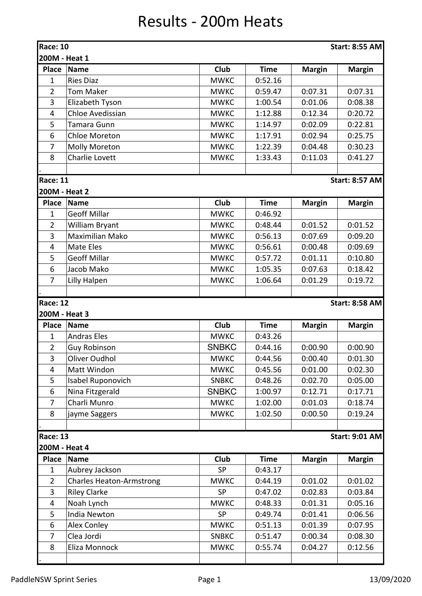## Results - 200m Heats

|                 | <b>Race: 10</b><br><b>Start: 8:55 AM</b> |              |             |               |                       |  |  |  |  |
|-----------------|------------------------------------------|--------------|-------------|---------------|-----------------------|--|--|--|--|
| 200M - Heat 1   |                                          |              |             |               |                       |  |  |  |  |
| <b>Place</b>    | <b>Name</b>                              | Club         | <b>Time</b> | <b>Margin</b> | <b>Margin</b>         |  |  |  |  |
| $\mathbf{1}$    | <b>Ries Diaz</b>                         | <b>MWKC</b>  | 0:52.16     |               |                       |  |  |  |  |
| $\overline{2}$  | <b>Tom Maker</b>                         | <b>MWKC</b>  | 0:59.47     | 0:07.31       | 0:07.31               |  |  |  |  |
| 3               | Elizabeth Tyson                          | <b>MWKC</b>  | 1:00.54     | 0:01.06       | 0:08.38               |  |  |  |  |
| $\overline{4}$  | Chloe Avedissian                         | <b>MWKC</b>  | 1:12.88     | 0:12.34       | 0:20.72               |  |  |  |  |
| 5               | <b>Tamara Gunn</b>                       | <b>MWKC</b>  | 1:14.97     | 0:02.09       | 0:22.81               |  |  |  |  |
| 6               | <b>Chloe Moreton</b>                     | <b>MWKC</b>  | 1:17.91     | 0:02.94       | 0:25.75               |  |  |  |  |
| 7               | <b>Molly Moreton</b>                     | <b>MWKC</b>  | 1:22.39     | 0:04.48       | 0:30.23               |  |  |  |  |
| 8               | Charlie Lovett                           | <b>MWKC</b>  | 1:33.43     | 0:11.03       | 0:41.27               |  |  |  |  |
|                 |                                          |              |             |               |                       |  |  |  |  |
| <b>Race: 11</b> |                                          |              |             |               | <b>Start: 8:57 AM</b> |  |  |  |  |
| 200M - Heat 2   |                                          |              |             |               |                       |  |  |  |  |
| <b>Place</b>    | <b>Name</b>                              | Club         | <b>Time</b> | <b>Margin</b> | <b>Margin</b>         |  |  |  |  |
| $\mathbf{1}$    | <b>Geoff Millar</b>                      | <b>MWKC</b>  | 0:46.92     |               |                       |  |  |  |  |
| $\overline{2}$  | William Bryant                           | <b>MWKC</b>  | 0:48.44     | 0:01.52       | 0:01.52               |  |  |  |  |
| 3               | <b>Maximilian Mako</b>                   | <b>MWKC</b>  | 0:56.13     | 0:07.69       | 0:09.20               |  |  |  |  |
| 4               | <b>Mate Eles</b>                         | <b>MWKC</b>  | 0:56.61     | 0:00.48       | 0:09.69               |  |  |  |  |
| 5               | <b>Geoff Millar</b>                      | <b>MWKC</b>  | 0:57.72     | 0:01.11       | 0:10.80               |  |  |  |  |
| 6               | Jacob Mako                               | <b>MWKC</b>  | 1:05.35     | 0:07.63       | 0:18.42               |  |  |  |  |
| $\overline{7}$  | <b>Lilly Halpen</b>                      | <b>MWKC</b>  | 1:06.64     | 0:01.29       | 0:19.72               |  |  |  |  |
|                 |                                          |              |             |               |                       |  |  |  |  |
| <b>Race: 12</b> |                                          |              |             |               | <b>Start: 8:58 AM</b> |  |  |  |  |
| 200M - Heat 3   |                                          |              |             |               |                       |  |  |  |  |
| <b>Place</b>    | <b>Name</b>                              | Club         | <b>Time</b> | <b>Margin</b> | <b>Margin</b>         |  |  |  |  |
| $\mathbf{1}$    | <b>Andras Eles</b>                       | <b>MWKC</b>  | 0:43.26     |               |                       |  |  |  |  |
| $\overline{2}$  | <b>Guy Robinson</b>                      | <b>SNBKC</b> | 0:44.16     | 0:00.90       | 0:00.90               |  |  |  |  |
| 3               | Oliver Oudhol                            | <b>MWKC</b>  | 0:44.56     | 0:00.40       | 0:01.30               |  |  |  |  |
| $\overline{4}$  | Matt Windon                              | <b>MWKC</b>  | 0:45.56     | 0:01.00       | 0:02.30               |  |  |  |  |
| 5               | Isabel Ruponovich                        | <b>SNBKC</b> | 0:48.26     | 0:02.70       | 0:05.00               |  |  |  |  |
| 6               | Nina Fitzgerald                          | <b>SNBKC</b> | 1:00.97     | 0:12.71       | 0:17.71               |  |  |  |  |
| $\overline{7}$  | Charli Munro                             | <b>MWKC</b>  | 1:02.00     | 0:01.03       | 0:18.74               |  |  |  |  |
| 8               | jayme Saggers                            | <b>MWKC</b>  | 1:02.50     | 0:00.50       | 0:19.24               |  |  |  |  |
|                 |                                          |              |             |               |                       |  |  |  |  |
| <b>Race: 13</b> |                                          |              |             |               | <b>Start: 9:01 AM</b> |  |  |  |  |
| 200M - Heat 4   |                                          |              |             |               |                       |  |  |  |  |
| <b>Place</b>    | <b>Name</b>                              | <b>Club</b>  | <b>Time</b> | <b>Margin</b> | <b>Margin</b>         |  |  |  |  |
| $\mathbf{1}$    | Aubrey Jackson                           | <b>SP</b>    | 0:43.17     |               |                       |  |  |  |  |
| $\overline{2}$  | <b>Charles Heaton-Armstrong</b>          | <b>MWKC</b>  | 0:44.19     | 0:01.02       | 0:01.02               |  |  |  |  |
| 3               | <b>Riley Clarke</b>                      | <b>SP</b>    | 0:47.02     | 0:02.83       | 0:03.84               |  |  |  |  |
| $\overline{4}$  | Noah Lynch                               | <b>MWKC</b>  | 0:48.33     | 0:01.31       | 0:05.16               |  |  |  |  |
| 5               | India Newton                             | <b>SP</b>    | 0:49.74     | 0:01.41       | 0:06.56               |  |  |  |  |
| 6               | Alex Conley                              | <b>MWKC</b>  | 0:51.13     | 0:01.39       | 0:07.95               |  |  |  |  |
| 7               | Clea Jordi                               | <b>SNBKC</b> | 0:51.47     | 0:00.34       | 0:08.30               |  |  |  |  |
| 8               | Eliza Monnock                            | <b>MWKC</b>  | 0:55.74     | 0:04.27       | 0:12.56               |  |  |  |  |
|                 |                                          |              |             |               |                       |  |  |  |  |